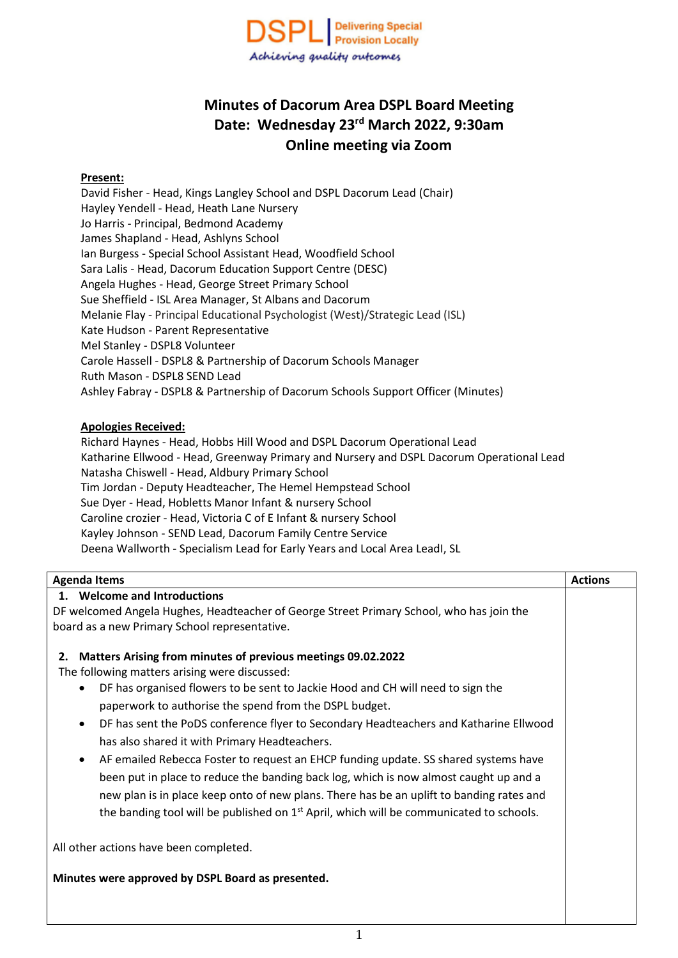

# **Minutes of Dacorum Area DSPL Board Meeting Date: Wednesday 23rd March 2022, 9:30am Online meeting via Zoom**

#### **Present:**

David Fisher - Head, Kings Langley School and DSPL Dacorum Lead (Chair) Hayley Yendell - Head, Heath Lane Nursery Jo Harris - Principal, Bedmond Academy James Shapland - Head, Ashlyns School Ian Burgess - Special School Assistant Head, Woodfield School Sara Lalis - Head, Dacorum Education Support Centre (DESC) Angela Hughes - Head, George Street Primary School Sue Sheffield - ISL Area Manager, St Albans and Dacorum Melanie Flay - Principal Educational Psychologist (West)/Strategic Lead (ISL) Kate Hudson - Parent Representative Mel Stanley - DSPL8 Volunteer Carole Hassell - DSPL8 & Partnership of Dacorum Schools Manager Ruth Mason - DSPL8 SEND Lead Ashley Fabray - DSPL8 & Partnership of Dacorum Schools Support Officer (Minutes)

#### **Apologies Received:**

Richard Haynes - Head, Hobbs Hill Wood and DSPL Dacorum Operational Lead Katharine Ellwood - Head, Greenway Primary and Nursery and DSPL Dacorum Operational Lead Natasha Chiswell - Head, Aldbury Primary School Tim Jordan - Deputy Headteacher, The Hemel Hempstead School Sue Dyer - Head, Hobletts Manor Infant & nursery School Caroline crozier - Head, Victoria C of E Infant & nursery School Kayley Johnson - SEND Lead, Dacorum Family Centre Service Deena Wallworth - Specialism Lead for Early Years and Local Area LeadI, SL

| <b>Agenda Items</b>                                                                                                                                                                                                                                                                                                                                                                                                                                                                                                                                                                                                                                                                                                                                                                                                                  | <b>Actions</b> |
|--------------------------------------------------------------------------------------------------------------------------------------------------------------------------------------------------------------------------------------------------------------------------------------------------------------------------------------------------------------------------------------------------------------------------------------------------------------------------------------------------------------------------------------------------------------------------------------------------------------------------------------------------------------------------------------------------------------------------------------------------------------------------------------------------------------------------------------|----------------|
| <b>Welcome and Introductions</b>                                                                                                                                                                                                                                                                                                                                                                                                                                                                                                                                                                                                                                                                                                                                                                                                     |                |
| DF welcomed Angela Hughes, Headteacher of George Street Primary School, who has join the                                                                                                                                                                                                                                                                                                                                                                                                                                                                                                                                                                                                                                                                                                                                             |                |
| board as a new Primary School representative.                                                                                                                                                                                                                                                                                                                                                                                                                                                                                                                                                                                                                                                                                                                                                                                        |                |
| Matters Arising from minutes of previous meetings 09.02.2022<br>2.<br>The following matters arising were discussed:<br>DF has organised flowers to be sent to Jackie Hood and CH will need to sign the<br>$\bullet$<br>paperwork to authorise the spend from the DSPL budget.<br>DF has sent the PoDS conference flyer to Secondary Headteachers and Katharine Ellwood<br>$\bullet$<br>has also shared it with Primary Headteachers.<br>AF emailed Rebecca Foster to request an EHCP funding update. SS shared systems have<br>$\bullet$<br>been put in place to reduce the banding back log, which is now almost caught up and a<br>new plan is in place keep onto of new plans. There has be an uplift to banding rates and<br>the banding tool will be published on 1 <sup>st</sup> April, which will be communicated to schools. |                |
| All other actions have been completed.                                                                                                                                                                                                                                                                                                                                                                                                                                                                                                                                                                                                                                                                                                                                                                                               |                |
| Minutes were approved by DSPL Board as presented.                                                                                                                                                                                                                                                                                                                                                                                                                                                                                                                                                                                                                                                                                                                                                                                    |                |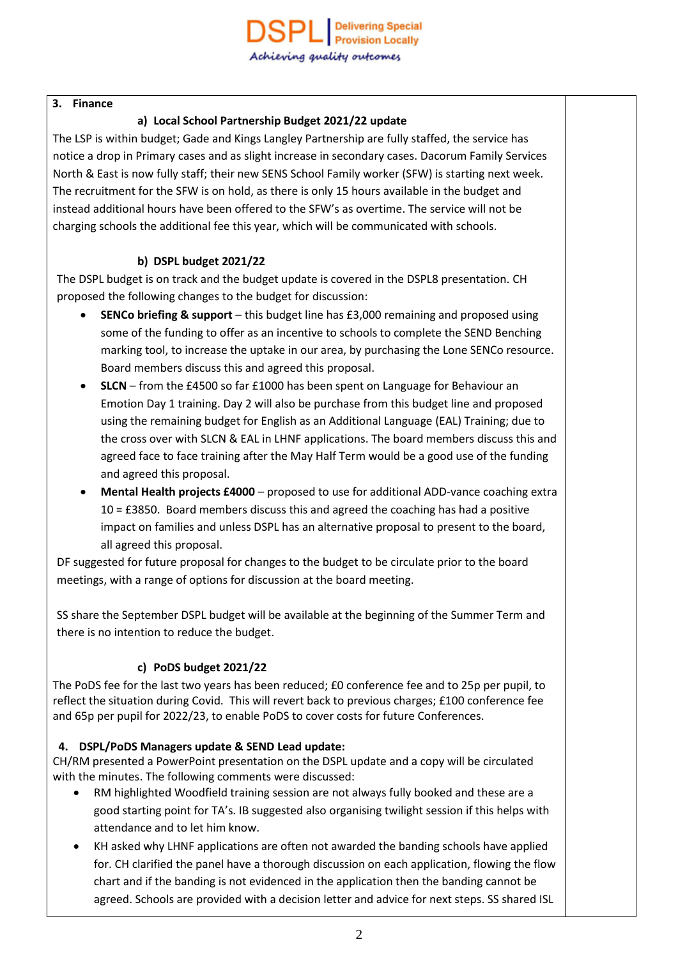#### **3. Finance**

### **a) Local School Partnership Budget 2021/22 update**

The LSP is within budget; Gade and Kings Langley Partnership are fully staffed, the service has notice a drop in Primary cases and as slight increase in secondary cases. Dacorum Family Services North & East is now fully staff; their new SENS School Family worker (SFW) is starting next week. The recruitment for the SFW is on hold, as there is only 15 hours available in the budget and instead additional hours have been offered to the SFW's as overtime. The service will not be charging schools the additional fee this year, which will be communicated with schools.

### **b) DSPL budget 2021/22**

The DSPL budget is on track and the budget update is covered in the DSPL8 presentation. CH proposed the following changes to the budget for discussion:

- **SENCo briefing & support** this budget line has £3,000 remaining and proposed using some of the funding to offer as an incentive to schools to complete the SEND Benching marking tool, to increase the uptake in our area, by purchasing the Lone SENCo resource. Board members discuss this and agreed this proposal.
- **SLCN** from the £4500 so far £1000 has been spent on Language for Behaviour an Emotion Day 1 training. Day 2 will also be purchase from this budget line and proposed using the remaining budget for English as an Additional Language (EAL) Training; due to the cross over with SLCN & EAL in LHNF applications. The board members discuss this and agreed face to face training after the May Half Term would be a good use of the funding and agreed this proposal.
- **Mental Health projects £4000** proposed to use for additional ADD-vance coaching extra 10 = £3850. Board members discuss this and agreed the coaching has had a positive impact on families and unless DSPL has an alternative proposal to present to the board, all agreed this proposal.

DF suggested for future proposal for changes to the budget to be circulate prior to the board meetings, with a range of options for discussion at the board meeting.

SS share the September DSPL budget will be available at the beginning of the Summer Term and there is no intention to reduce the budget.

## **c) PoDS budget 2021/22**

The PoDS fee for the last two years has been reduced; £0 conference fee and to 25p per pupil, to reflect the situation during Covid. This will revert back to previous charges; £100 conference fee and 65p per pupil for 2022/23, to enable PoDS to cover costs for future Conferences.

## **4. DSPL/PoDS Managers update & SEND Lead update:**

CH/RM presented a PowerPoint presentation on the DSPL update and a copy will be circulated with the minutes. The following comments were discussed:

- RM highlighted Woodfield training session are not always fully booked and these are a good starting point for TA's. IB suggested also organising twilight session if this helps with attendance and to let him know.
- KH asked why LHNF applications are often not awarded the banding schools have applied for. CH clarified the panel have a thorough discussion on each application, flowing the flow chart and if the banding is not evidenced in the application then the banding cannot be agreed. Schools are provided with a decision letter and advice for next steps. SS shared ISL